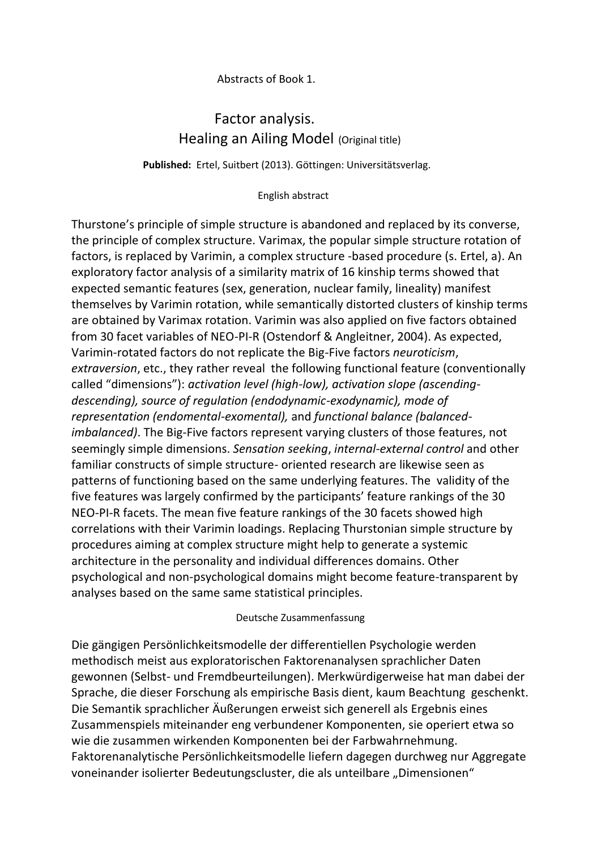## Abstracts of Book 1.

## Factor analysis. Healing an Ailing Model (Original title)

**Published:** Ertel, Suitbert (2013). Göttingen: Universitätsverlag.

## English abstract

Thurstone's principle of simple structure is abandoned and replaced by its converse, the principle of complex structure. Varimax, the popular simple structure rotation of factors, is replaced by Varimin, a complex structure -based procedure (s. Ertel, a). An exploratory factor analysis of a similarity matrix of 16 kinship terms showed that expected semantic features (sex, generation, nuclear family, lineality) manifest themselves by Varimin rotation, while semantically distorted clusters of kinship terms are obtained by Varimax rotation. Varimin was also applied on five factors obtained from 30 facet variables of NEO-PI-R (Ostendorf & Angleitner, 2004). As expected, Varimin-rotated factors do not replicate the Big-Five factors *neuroticism*, *extraversion*, etc., they rather reveal the following functional feature (conventionally called "dimensions"): *activation level (high-low), activation slope (ascendingdescending), source of regulation (endodynamic-exodynamic), mode of representation (endomental-exomental),* and *functional balance (balancedimbalanced)*. The Big-Five factors represent varying clusters of those features, not seemingly simple dimensions. *Sensation seeking*, *internal-external control* and other familiar constructs of simple structure- oriented research are likewise seen as patterns of functioning based on the same underlying features. The validity of the five features was largely confirmed by the participants' feature rankings of the 30 NEO-PI-R facets. The mean five feature rankings of the 30 facets showed high correlations with their Varimin loadings. Replacing Thurstonian simple structure by procedures aiming at complex structure might help to generate a systemic architecture in the personality and individual differences domains. Other psychological and non-psychological domains might become feature-transparent by analyses based on the same same statistical principles.

## Deutsche Zusammenfassung

Die gängigen Persönlichkeitsmodelle der differentiellen Psychologie werden methodisch meist aus exploratorischen Faktorenanalysen sprachlicher Daten gewonnen (Selbst- und Fremdbeurteilungen). Merkwürdigerweise hat man dabei der Sprache, die dieser Forschung als empirische Basis dient, kaum Beachtung geschenkt. Die Semantik sprachlicher Äußerungen erweist sich generell als Ergebnis eines Zusammenspiels miteinander eng verbundener Komponenten, sie operiert etwa so wie die zusammen wirkenden Komponenten bei der Farbwahrnehmung. Faktorenanalytische Persönlichkeitsmodelle liefern dagegen durchweg nur Aggregate voneinander isolierter Bedeutungscluster, die als unteilbare "Dimensionen"